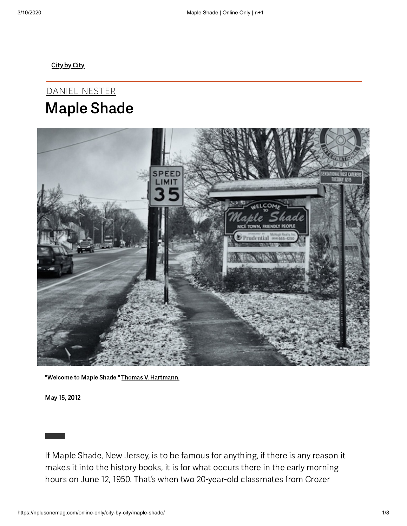[City](https://nplusonemag.com/online-only/city-by-city/) by City

DANIEL [NESTER](https://nplusonemag.com/authors/nesterdaniel/) Maple Shade



"Welcome to Maple Shade." Thomas V. [Hartmann.](https://nplusonemag.com/online-only/city-by-city/maple-shade/bythomasv.tumblr.com)

May 15, 2012

If Maple Shade, New Jersey, is to be famous for anything, if there is any reason it makes it into the history books, it is for what occurs there in the early morning hours on June 12, 1950. That's when two 20-year-old classmates from Crozer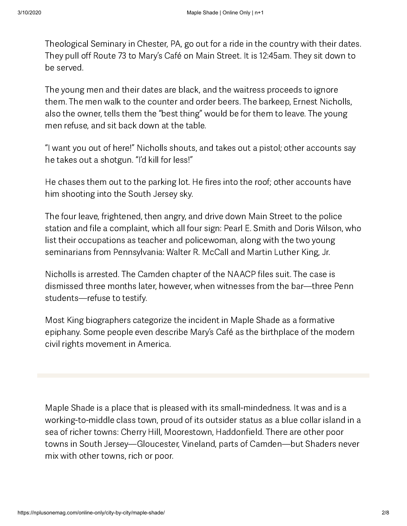Theological Seminary in Chester, PA, go out for a ride in the country with their dates. They pull off Route 73 to Mary's Café on Main Street. It is 12:45am. They sit down to be served.

The young men and their dates are black, and the waitress proceeds to ignore them. The men walk to the counter and order beers. The barkeep, Ernest Nicholls, also the owner, tells them the "best thing" would be for them to leave. The young men refuse, and sit back down at the table.

"I want you out of here!" Nicholls shouts, and takes out a pistol; other accounts say he takes out a shotgun. "I'd kill for less!"

He chases them out to the parking lot. He fires into the roof; other accounts have him shooting into the South Jersey sky.

The four leave, frightened, then angry, and drive down Main Street to the police station and file a complaint, which all four sign: Pearl E. Smith and Doris Wilson, who list their occupations as teacher and policewoman, along with the two young seminarians from Pennsylvania: Walter R. McCall and Martin Luther King, Jr.

Nicholls is arrested. The Camden chapter of the NAACP files suit. The case is dismissed three months later, however, when witnesses from the bar—three Penn students—refuse to testify.

Most King biographers categorize the incident in Maple Shade as a formative epiphany. Some people even describe Mary's Café as the birthplace of the modern civil rights movement in America.

Maple Shade is a place that is pleased with its small-mindedness. It was and is a working-to-middle class town, proud of its outsider status as a blue collar island in a sea of richer towns: Cherry Hill, Moorestown, Haddonfield. There are other poor towns in South Jersey—Gloucester, Vineland, parts of Camden—but Shaders never mix with other towns, rich or poor.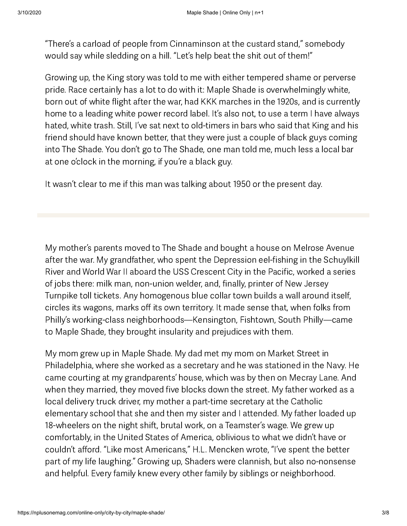"There's a carload of people from Cinnaminson at the custard stand," somebody would say while sledding on a hill. "Let's help beat the shit out of them!"

Growing up, the King story was told to me with either tempered shame or perverse pride. Race certainly has a lot to do with it: Maple Shade is overwhelmingly white, born out of white flight after the war, had KKK marches in the 1920s, and is currently home to a leading white power record label. It's also not, to use a term I have always hated, white trash. Still, I've sat next to old-timers in bars who said that King and his friend should have known better, that they were just a couple of black guys coming into The Shade. You don't go to The Shade, one man told me, much less a local bar at one o'clock in the morning, if you're a black guy.

It wasn't clear to me if this man was talking about 1950 or the present day.

My mother's parents moved to The Shade and bought a house on Melrose Avenue after the war. My grandfather, who spent the Depression eel-fishing in the Schuylkill River and World War II aboard the USS Crescent City in the Pacific, worked a series of jobs there: milk man, non-union welder, and, finally, printer of New Jersey Turnpike toll tickets. Any homogenous blue collar town builds a wall around itself, circles its wagons, marks off its own territory. It made sense that, when folks from Philly's working-class neighborhoods—Kensington, Fishtown, South Philly—came to Maple Shade, they brought insularity and prejudices with them.

My mom grew up in Maple Shade. My dad met my mom on Market Street in Philadelphia, where she worked as a secretary and he was stationed in the Navy. He came courting at my grandparents' house, which was by then on Mecray Lane. And when they married, they moved five blocks down the street. My father worked as a local delivery truck driver, my mother a part-time secretary at the Catholic elementary school that she and then my sister and I attended. My father loaded up 18-wheelers on the night shift, brutal work, on a Teamster's wage. We grew up comfortably, in the United States of America, oblivious to what we didn't have or couldn't afford. "Like most Americans," H.L. Mencken wrote, "I've spent the better part of my life laughing." Growing up, Shaders were clannish, but also no-nonsense and helpful. Every family knew every other family by siblings or neighborhood.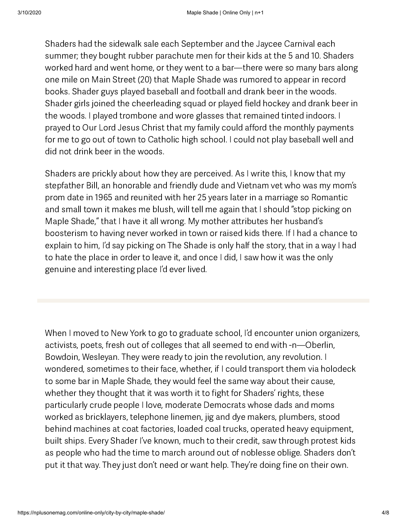Shaders had the sidewalk sale each September and the Jaycee Carnival each summer; they bought rubber parachute men for their kids at the 5 and 10. Shaders worked hard and went home, or they went to a bar—there were so many bars along one mile on Main Street (20) that Maple Shade was rumored to appear in record books. Shader guys played baseball and football and drank beer in the woods. Shader girls joined the cheerleading squad or played field hockey and drank beer in the woods. I played trombone and wore glasses that remained tinted indoors. I prayed to Our Lord Jesus Christ that my family could afford the monthly payments for me to go out of town to Catholic high school. I could not play baseball well and did not drink beer in the woods.

Shaders are prickly about how they are perceived. As I write this, I know that my stepfather Bill, an honorable and friendly dude and Vietnam vet who was my mom's prom date in 1965 and reunited with her 25 years later in a marriage so Romantic and small town it makes me blush, will tell me again that I should "stop picking on Maple Shade," that I have it all wrong. My mother attributes her husband's boosterism to having never worked in town or raised kids there. If I had a chance to explain to him, I'd say picking on The Shade is only half the story, that in a way I had to hate the place in order to leave it, and once I did, I saw how it was the only genuine and interesting place I'd ever lived.

When I moved to New York to go to graduate school, I'd encounter union organizers, activists, poets, fresh out of colleges that all seemed to end with -n—Oberlin, Bowdoin, Wesleyan. They were ready to join the revolution, any revolution. I wondered, sometimes to their face, whether, if I could transport them via holodeck to some bar in Maple Shade, they would feel the same way about their cause, whether they thought that it was worth it to fight for Shaders' rights, these particularly crude people I love, moderate Democrats whose dads and moms worked as bricklayers, telephone linemen, jig and dye makers, plumbers, stood behind machines at coat factories, loaded coal trucks, operated heavy equipment, built ships. Every Shader I've known, much to their credit, saw through protest kids as people who had the time to march around out of noblesse oblige. Shaders don't put it that way. They just don't need or want help. They're doing fine on their own.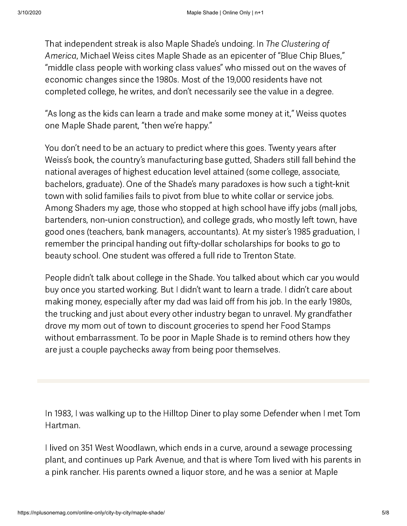That independent streak is also Maple Shade's undoing. In The Clustering of America, Michael Weiss cites Maple Shade as an epicenter of "Blue Chip Blues," "middle class people with working class values" who missed out on the waves of economic changes since the 1980s. Most of the 19,000 residents have not completed college, he writes, and don't necessarily see the value in a degree.

"As long as the kids can learn a trade and make some money at it," Weiss quotes one Maple Shade parent, "then we're happy."

You don't need to be an actuary to predict where this goes. Twenty years after Weiss's book, the country's manufacturing base gutted, Shaders still fall behind the national averages of highest education level attained (some college, associate, bachelors, graduate). One of the Shade's many paradoxes is how such a tight-knit town with solid families fails to pivot from blue to white collar or service jobs. Among Shaders my age, those who stopped at high school have iffy jobs (mall jobs, bartenders, non-union construction), and college grads, who mostly left town, have good ones (teachers, bank managers, accountants). At my sister's 1985 graduation, I remember the principal handing out fifty-dollar scholarships for books to go to beauty school. One student was offered a full ride to Trenton State.

People didn't talk about college in the Shade. You talked about which car you would buy once you started working. But I didn't want to learn a trade. I didn't care about making money, especially after my dad was laid off from his job. In the early 1980s, the trucking and just about every other industry began to unravel. My grandfather drove my mom out of town to discount groceries to spend her Food Stamps without embarrassment. To be poor in Maple Shade is to remind others how they are just a couple paychecks away from being poor themselves.

In 1983, I was walking up to the Hilltop Diner to play some Defender when I met Tom Hartman.

I lived on 351 West Woodlawn, which ends in a curve, around a sewage processing plant, and continues up Park Avenue, and that is where Tom lived with his parents in a pink rancher. His parents owned a liquor store, and he was a senior at Maple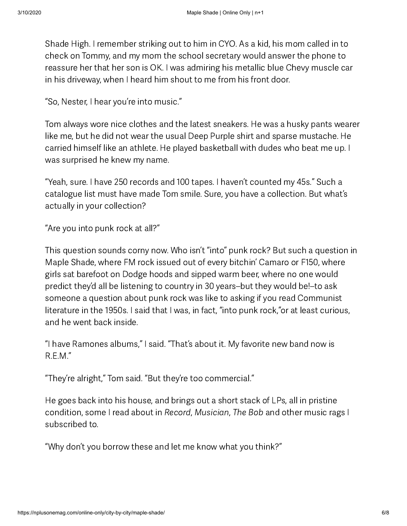Shade High. I remember striking out to him in CYO. As a kid, his mom called in to check on Tommy, and my mom the school secretary would answer the phone to reassure her that her son is OK. I was admiring his metallic blue Chevy muscle car in his driveway, when I heard him shout to me from his front door.

"So, Nester, I hear you're into music."

Tom always wore nice clothes and the latest sneakers. He was a husky pants wearer like me, but he did not wear the usual Deep Purple shirt and sparse mustache. He carried himself like an athlete. He played basketball with dudes who beat me up. I was surprised he knew my name.

"Yeah, sure. I have 250 records and 100 tapes. I haven't counted my 45s." Such a catalogue list must have made Tom smile. Sure, you have a collection. But what's actually in your collection?

"Are you into punk rock at all?"

This question sounds corny now. Who isn't "into" punk rock? But such a question in Maple Shade, where FM rock issued out of every bitchin' Camaro or F150, where girls sat barefoot on Dodge hoods and sipped warm beer, where no one would predict they'd all be listening to country in 30 years–but they would be!–to ask someone a question about punk rock was like to asking if you read Communist literature in the 1950s. I said that I was, in fact, "into punk rock,"or at least curious, and he went back inside.

"I have Ramones albums," I said. "That's about it. My favorite new band now is R.E.M."

"They're alright," Tom said. "But they're too commercial."

He goes back into his house, and brings out a short stack of LPs, all in pristine condition, some I read about in Record, Musician, The Bob and other music rags I subscribed to.

"Why don't you borrow these and let me know what you think?"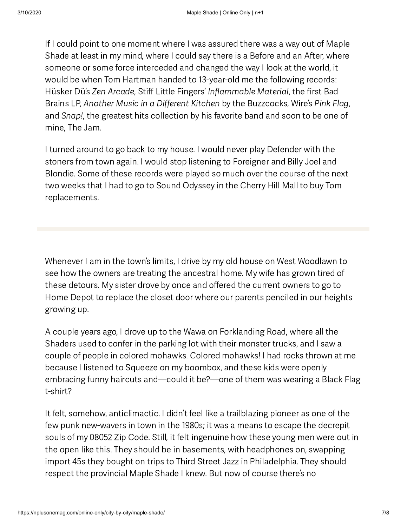If I could point to one moment where I was assured there was a way out of Maple Shade at least in my mind, where I could say there is a Before and an After, where someone or some force interceded and changed the way I look at the world, it would be when Tom Hartman handed to 13-year-old me the following records: Hüsker Dü's Zen Arcade, Stiff Little Fingers' Inflammable Material, the first Bad Brains LP, Another Music in a Different Kitchen by the Buzzcocks, Wire's Pink Flag, and Snap!, the greatest hits collection by his favorite band and soon to be one of mine, The Jam.

I turned around to go back to my house. I would never play Defender with the stoners from town again. I would stop listening to Foreigner and Billy Joel and Blondie. Some of these records were played so much over the course of the next two weeks that I had to go to Sound Odyssey in the Cherry Hill Mall to buy Tom replacements.

Whenever I am in the town's limits, I drive by my old house on West Woodlawn to see how the owners are treating the ancestral home. My wife has grown tired of these detours. My sister drove by once and offered the current owners to go to Home Depot to replace the closet door where our parents penciled in our heights growing up.

A couple years ago, I drove up to the Wawa on Forklanding Road, where all the Shaders used to confer in the parking lot with their monster trucks, and I saw a couple of people in colored mohawks. Colored mohawks! I had rocks thrown at me because I listened to Squeeze on my boombox, and these kids were openly embracing funny haircuts and—could it be?—one of them was wearing a Black Flag t-shirt?

It felt, somehow, anticlimactic. I didn't feel like a trailblazing pioneer as one of the few punk new-wavers in town in the 1980s; it was a means to escape the decrepit souls of my 08052 Zip Code. Still, it felt ingenuine how these young men were out in the open like this. They should be in basements, with headphones on, swapping import 45s they bought on trips to Third Street Jazz in Philadelphia. They should respect the provincial Maple Shade I knew. But now of course there's no